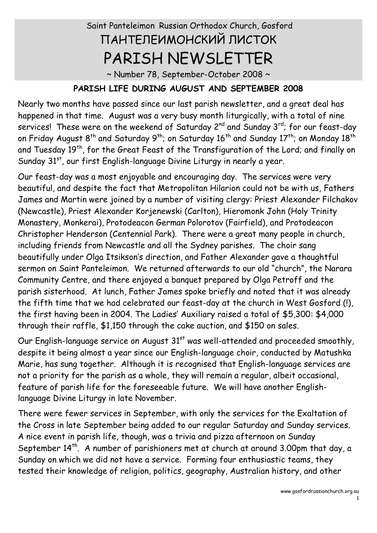# Saint Panteleimon Russian Orthodox Church, Gosford ПАНТЕЛЕИМОНСКИЙ ЛИСТОК PARISH NEWSLETTER

~ Number 78, September-October 2008 ~

### **PARISH LIFE DURING AUGUST AND SEPTEMBER 2008**

Nearly two months have passed since our last parish newsletter, and a great deal has happened in that time. August was a very busy month liturgically, with a total of nine services! These were on the weekend of Saturday 2<sup>nd</sup> and Sunday 3<sup>rd</sup>; for our feast-day on Friday August 8<sup>th</sup> and Saturday 9<sup>th</sup>; on Saturday 16<sup>th</sup> and Sunday 17<sup>th</sup>; on Monday 18<sup>th</sup> and Tuesday 19<sup>th</sup>, for the Great Feast of the Transfiguration of the Lord; and finally on Sunday 31st, our first English-language Divine Liturgy in nearly a year.

Our feast-day was a most enjoyable and encouraging day. The services were very beautiful, and despite the fact that Metropolitan Hilarion could not be with us, Fathers James and Martin were joined by a number of visiting clergy: Priest Alexander Filchakov (Newcastle), Priest Alexander Korjenewski (Carlton), Hieromonk John (Holy Trinity Monastery, Monkerai), Protodeacon German Polorotov (Fairfield), and Protodeacon Christopher Henderson (Centennial Park). There were a great many people in church, including friends from Newcastle and all the Sydney parishes. The choir sang beautifully under Olga Itsikson's direction, and Father Alexander gave a thoughtful sermon on Saint Panteleimon. We returned afterwards to our old "church", the Narara Community Centre, and there enjoyed a banquet prepared by Olga Petroff and the parish sisterhood. At lunch, Father James spoke briefly and noted that it was already the fifth time that we had celebrated our feast-day at the church in West Gosford (!), the first having been in 2004. The Ladies' Auxiliary raised a total of \$5,300: \$4,000 through their raffle, \$1,150 through the cake auction, and \$150 on sales.

Our English-language service on August 31<sup>st</sup> was well-attended and proceeded smoothly, despite it being almost a year since our English-language choir, conducted by Matushka Marie, has sung together. Although it is recognised that English-language services are not a priority for the parish as a whole, they will remain a regular, albeit occasional, feature of parish life for the foreseeable future. We will have another Englishlanguage Divine Liturgy in late November.

There were fewer services in September, with only the services for the Exaltation of the Cross in late September being added to our regular Saturday and Sunday services. A nice event in parish life, though, was a trivia and pizza afternoon on Sunday September  $14<sup>th</sup>$ . A number of parishioners met at church at around 3.00pm that day, a Sunday on which we did not have a service. Forming four enthusiastic teams, they tested their knowledge of religion, politics, geography, Australian history, and other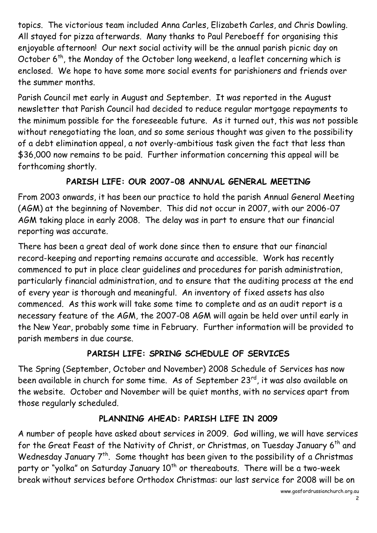topics. The victorious team included Anna Carles, Elizabeth Carles, and Chris Dowling. All stayed for pizza afterwards. Many thanks to Paul Pereboeff for organising this enjoyable afternoon! Our next social activity will be the annual parish picnic day on October  $6<sup>th</sup>$ , the Monday of the October long weekend, a leaflet concerning which is enclosed. We hope to have some more social events for parishioners and friends over the summer months.

Parish Council met early in August and September. It was reported in the August newsletter that Parish Council had decided to reduce regular mortgage repayments to the minimum possible for the foreseeable future. As it turned out, this was not possible without renegotiating the loan, and so some serious thought was given to the possibility of a debt elimination appeal, a not overly-ambitious task given the fact that less than \$36,000 now remains to be paid. Further information concerning this appeal will be forthcoming shortly.

## **PARISH LIFE: OUR 2007-08 ANNUAL GENERAL MEETING**

From 2003 onwards, it has been our practice to hold the parish Annual General Meeting (AGM) at the beginning of November. This did not occur in 2007, with our 2006-07 AGM taking place in early 2008. The delay was in part to ensure that our financial reporting was accurate.

There has been a great deal of work done since then to ensure that our financial record-keeping and reporting remains accurate and accessible. Work has recently commenced to put in place clear guidelines and procedures for parish administration, particularly financial administration, and to ensure that the auditing process at the end of every year is thorough and meaningful. An inventory of fixed assets has also commenced. As this work will take some time to complete and as an audit report is a necessary feature of the AGM, the 2007-08 AGM will again be held over until early in the New Year, probably some time in February. Further information will be provided to parish members in due course.

## **PARISH LIFE: SPRING SCHEDULE OF SERVICES**

The Spring (September, October and November) 2008 Schedule of Services has now been available in church for some time. As of September 23<sup>rd</sup>, it was also available on the website. October and November will be quiet months, with no services apart from those regularly scheduled.

## **PLANNING AHEAD: PARISH LIFE IN 2009**

A number of people have asked about services in 2009. God willing, we will have services for the Great Feast of the Nativity of Christ, or Christmas, on Tuesday January 6<sup>th</sup> and Wednesday January  $7<sup>th</sup>$ . Some thought has been given to the possibility of a Christmas party or "yolka" on Saturday January  $10<sup>th</sup>$  or thereabouts. There will be a two-week break without services before Orthodox Christmas: our last service for 2008 will be on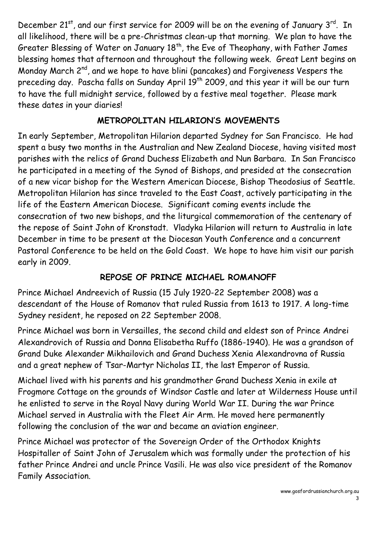December 21 $^{\rm st}$ , and our first service for 2009 will be on the evening of January 3 $^{\rm rd}$ . In all likelihood, there will be a pre-Christmas clean-up that morning. We plan to have the Greater Blessing of Water on January 18<sup>th</sup>, the Eve of Theophany, with Father James blessing homes that afternoon and throughout the following week. Great Lent begins on Monday March 2<sup>nd</sup>, and we hope to have blini (pancakes) and Forgiveness Vespers the preceding day. Pascha falls on Sunday April 19<sup>th</sup> 2009, and this year it will be our turn to have the full midnight service, followed by a festive meal together. Please mark these dates in your diaries!

#### **METROPOLITAN HILARION'S MOVEMENTS**

In early September, Metropolitan Hilarion departed Sydney for San Francisco. He had spent a busy two months in the Australian and New Zealand Diocese, having visited most parishes with the relics of Grand Duchess Elizabeth and Nun Barbara. In San Francisco he participated in a meeting of the Synod of Bishops, and presided at the consecration of a new vicar bishop for the Western American Diocese, Bishop Theodosius of Seattle. Metropolitan Hilarion has since traveled to the East Coast, actively participating in the life of the Eastern American Diocese. Significant coming events include the consecration of two new bishops, and the liturgical commemoration of the centenary of the repose of Saint John of Kronstadt. Vladyka Hilarion will return to Australia in late December in time to be present at the Diocesan Youth Conference and a concurrent Pastoral Conference to be held on the Gold Coast. We hope to have him visit our parish early in 2009.

## **REPOSE OF PRINCE MICHAEL ROMANOFF**

Prince Michael Andreevich of Russia (15 July 1920-22 September 2008) was a descendant of the House of Romanov that ruled Russia from 1613 to 1917. A long-time Sydney resident, he reposed on 22 September 2008.

Prince Michael was born in Versailles, the second child and eldest son of Prince Andrei Alexandrovich of Russia and Donna Elisabetha Ruffo (1886-1940). He was a grandson of Grand Duke Alexander Mikhailovich and Grand Duchess Xenia Alexandrovna of Russia and a great nephew of Tsar-Martyr Nicholas II, the last Emperor of Russia.

Michael lived with his parents and his grandmother Grand Duchess Xenia in exile at Frogmore Cottage on the grounds of Windsor Castle and later at Wilderness House until he enlisted to serve in the Royal Navy during World War II. During the war Prince Michael served in Australia with the Fleet Air Arm. He moved here permanently following the conclusion of the war and became an aviation engineer.

Prince Michael was protector of the Sovereign Order of the Orthodox Knights Hospitaller of Saint John of Jerusalem which was formally under the protection of his father Prince Andrei and uncle Prince Vasili. He was also vice president of the Romanov Family Association.